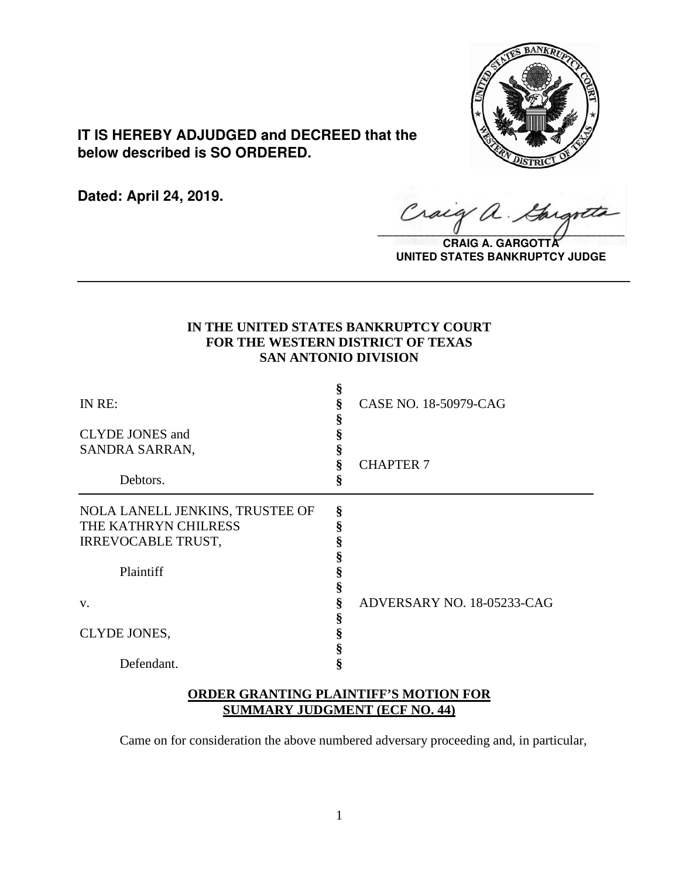

**IT IS HEREBY ADJUDGED and DECREED that the below described is SO ORDERED.**

**Dated: April 24, 2019.**

 $\sqrt{2}$ 

**CRAIG A. GARGOTT UNITED STATES BANKRUPTCY JUDGE**

# **IN THE UNITED STATES BANKRUPTCY COURT FOR THE WESTERN DISTRICT OF TEXAS SAN ANTONIO DIVISION**

**\_\_\_\_\_\_\_\_\_\_\_\_\_\_\_\_\_\_\_\_\_\_\_\_\_\_\_\_\_\_\_\_\_\_\_\_\_\_\_\_\_\_\_\_\_\_\_\_\_\_\_\_\_\_\_\_\_\_\_\_\_\_\_\_**

| IN RE:                          | §      | CASE NO. 18-50979-CAG      |
|---------------------------------|--------|----------------------------|
| <b>CLYDE JONES</b> and          | §      |                            |
| SANDRA SARRAN,                  | §      | <b>CHAPTER 7</b>           |
| Debtors.                        | ş<br>ş |                            |
| NOLA LANELL JENKINS, TRUSTEE OF | §      |                            |
| THE KATHRYN CHILRESS            | ş      |                            |
| <b>IRREVOCABLE TRUST,</b>       | ş      |                            |
|                                 |        |                            |
| Plaintiff                       | §      |                            |
|                                 | §      |                            |
| V.                              | §      | ADVERSARY NO. 18-05233-CAG |
|                                 | §      |                            |
| CLYDE JONES,                    | §      |                            |
|                                 | §      |                            |
| Defendant.                      | ş      |                            |

# **ORDER GRANTING PLAINTIFF'S MOTION FOR SUMMARY JUDGMENT (ECF NO. 44)**

Came on for consideration the above numbered adversary proceeding and, in particular,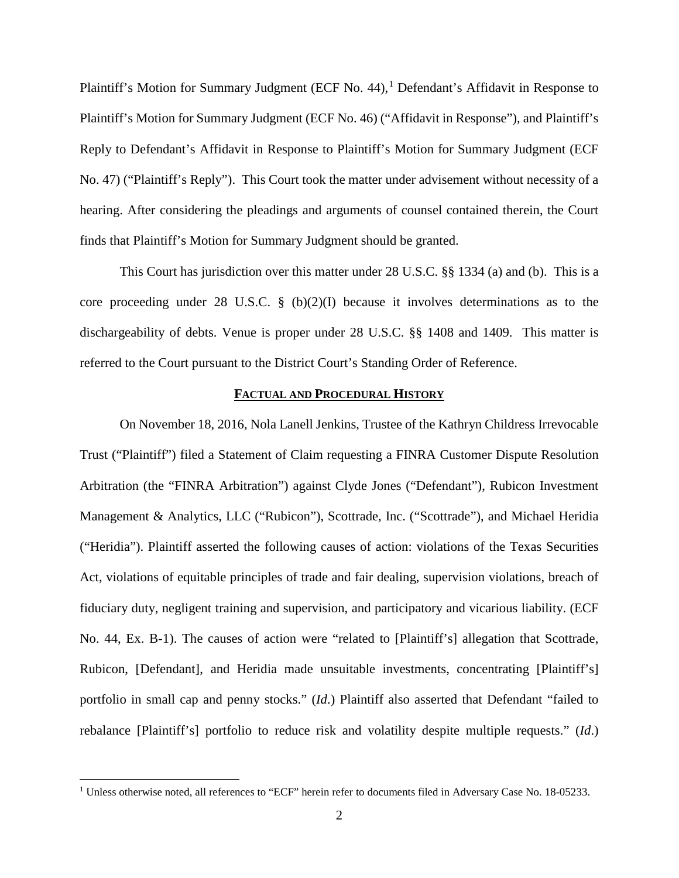Plaintiff's Motion for Summary Judgment (ECF No. 44),<sup>[1](#page-1-0)</sup> Defendant's Affidavit in Response to Plaintiff's Motion for Summary Judgment (ECF No. 46) ("Affidavit in Response"), and Plaintiff's Reply to Defendant's Affidavit in Response to Plaintiff's Motion for Summary Judgment (ECF No. 47) ("Plaintiff's Reply"). This Court took the matter under advisement without necessity of a hearing. After considering the pleadings and arguments of counsel contained therein, the Court finds that Plaintiff's Motion for Summary Judgment should be granted.

This Court has jurisdiction over this matter under 28 U.S.C. §§ 1334 (a) and (b). This is a core proceeding under 28 U.S.C. § (b)(2)(I) because it involves determinations as to the dischargeability of debts. Venue is proper under 28 U.S.C. §§ 1408 and 1409. This matter is referred to the Court pursuant to the District Court's Standing Order of Reference.

## **FACTUAL AND PROCEDURAL HISTORY**

On November 18, 2016, Nola Lanell Jenkins, Trustee of the Kathryn Childress Irrevocable Trust ("Plaintiff") filed a Statement of Claim requesting a FINRA Customer Dispute Resolution Arbitration (the "FINRA Arbitration") against Clyde Jones ("Defendant"), Rubicon Investment Management & Analytics, LLC ("Rubicon"), Scottrade, Inc. ("Scottrade"), and Michael Heridia ("Heridia"). Plaintiff asserted the following causes of action: violations of the Texas Securities Act, violations of equitable principles of trade and fair dealing, supervision violations, breach of fiduciary duty, negligent training and supervision, and participatory and vicarious liability. (ECF No. 44, Ex. B-1). The causes of action were "related to [Plaintiff's] allegation that Scottrade, Rubicon, [Defendant], and Heridia made unsuitable investments, concentrating [Plaintiff's] portfolio in small cap and penny stocks." (*Id*.) Plaintiff also asserted that Defendant "failed to rebalance [Plaintiff's] portfolio to reduce risk and volatility despite multiple requests." (*Id*.)

<span id="page-1-0"></span><sup>&</sup>lt;sup>1</sup> Unless otherwise noted, all references to "ECF" herein refer to documents filed in Adversary Case No. 18-05233.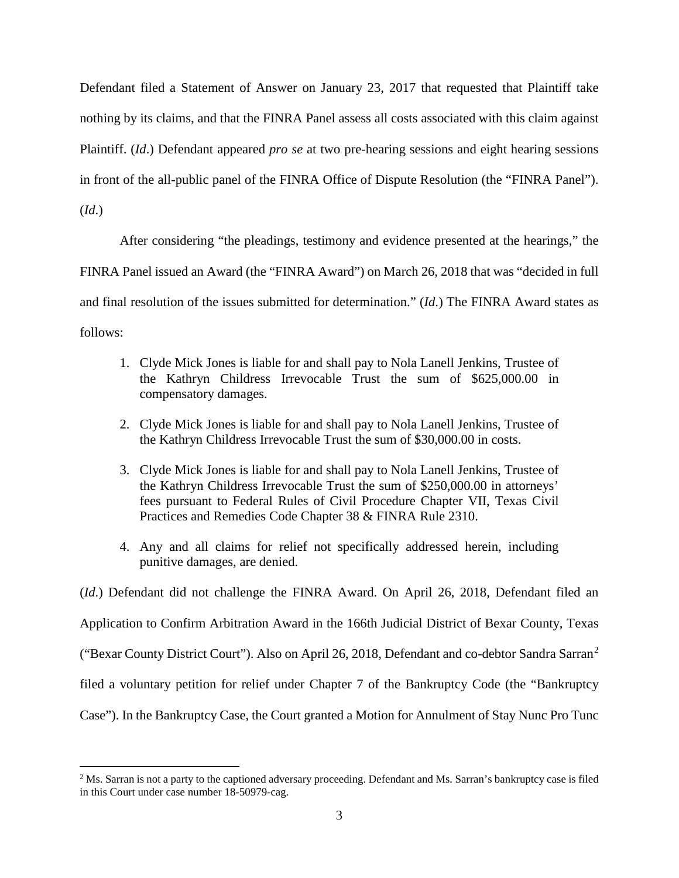Defendant filed a Statement of Answer on January 23, 2017 that requested that Plaintiff take nothing by its claims, and that the FINRA Panel assess all costs associated with this claim against Plaintiff. (*Id*.) Defendant appeared *pro se* at two pre-hearing sessions and eight hearing sessions in front of the all-public panel of the FINRA Office of Dispute Resolution (the "FINRA Panel"). (*Id*.)

After considering "the pleadings, testimony and evidence presented at the hearings," the FINRA Panel issued an Award (the "FINRA Award") on March 26, 2018 that was "decided in full and final resolution of the issues submitted for determination." (*Id*.) The FINRA Award states as follows:

- 1. Clyde Mick Jones is liable for and shall pay to Nola Lanell Jenkins, Trustee of the Kathryn Childress Irrevocable Trust the sum of \$625,000.00 in compensatory damages.
- 2. Clyde Mick Jones is liable for and shall pay to Nola Lanell Jenkins, Trustee of the Kathryn Childress Irrevocable Trust the sum of \$30,000.00 in costs.
- 3. Clyde Mick Jones is liable for and shall pay to Nola Lanell Jenkins, Trustee of the Kathryn Childress Irrevocable Trust the sum of \$250,000.00 in attorneys' fees pursuant to Federal Rules of Civil Procedure Chapter VII, Texas Civil Practices and Remedies Code Chapter 38 & FINRA Rule 2310.
- 4. Any and all claims for relief not specifically addressed herein, including punitive damages, are denied.

(*Id*.) Defendant did not challenge the FINRA Award. On April 26, 2018, Defendant filed an Application to Confirm Arbitration Award in the 166th Judicial District of Bexar County, Texas ("Bexar County District Court"). Also on April 26, 2018, Defendant and co-debtor Sandra Sarran[2](#page-2-0) filed a voluntary petition for relief under Chapter 7 of the Bankruptcy Code (the "Bankruptcy Case"). In the Bankruptcy Case, the Court granted a Motion for Annulment of Stay Nunc Pro Tunc

<span id="page-2-0"></span><sup>&</sup>lt;sup>2</sup> Ms. Sarran is not a party to the captioned adversary proceeding. Defendant and Ms. Sarran's bankruptcy case is filed in this Court under case number 18-50979-cag.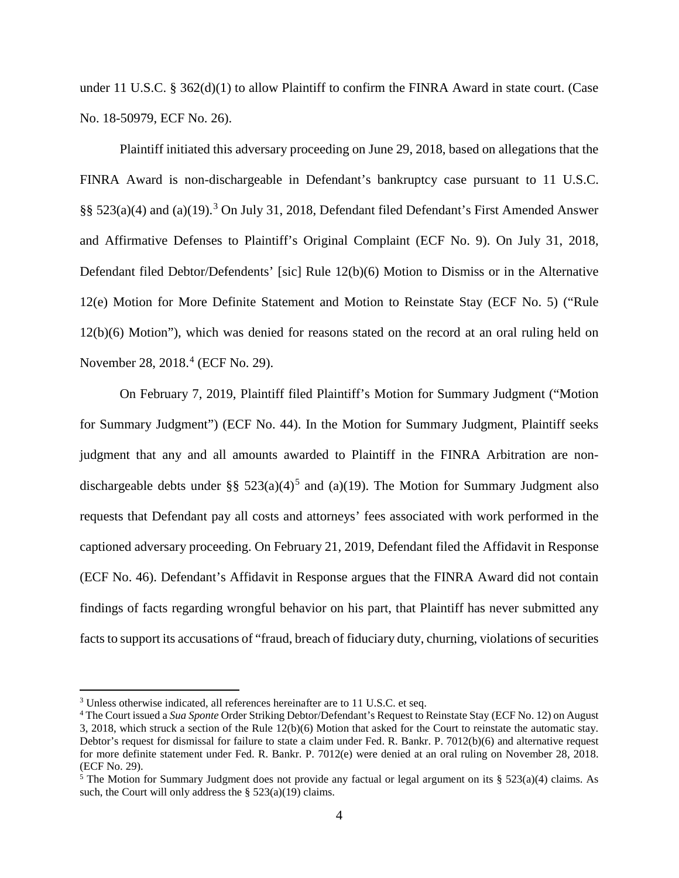under 11 U.S.C. § 362(d)(1) to allow Plaintiff to confirm the FINRA Award in state court. (Case No. 18-50979, ECF No. 26).

Plaintiff initiated this adversary proceeding on June 29, 2018, based on allegations that the FINRA Award is non-dischargeable in Defendant's bankruptcy case pursuant to 11 U.S.C. §§ 52[3](#page-3-0)(a)(4) and (a)(19).<sup>3</sup> On July 31, 2018, Defendant filed Defendant's First Amended Answer and Affirmative Defenses to Plaintiff's Original Complaint (ECF No. 9). On July 31, 2018, Defendant filed Debtor/Defendents' [sic] Rule 12(b)(6) Motion to Dismiss or in the Alternative 12(e) Motion for More Definite Statement and Motion to Reinstate Stay (ECF No. 5) ("Rule 12(b)(6) Motion"), which was denied for reasons stated on the record at an oral ruling held on November 28, 2018. [4](#page-3-1) (ECF No. 29).

On February 7, 2019, Plaintiff filed Plaintiff's Motion for Summary Judgment ("Motion for Summary Judgment") (ECF No. 44). In the Motion for Summary Judgment, Plaintiff seeks judgment that any and all amounts awarded to Plaintiff in the FINRA Arbitration are nondischargeable debts under §§  $523(a)(4)^5$  $523(a)(4)^5$  and (a)(19). The Motion for Summary Judgment also requests that Defendant pay all costs and attorneys' fees associated with work performed in the captioned adversary proceeding. On February 21, 2019, Defendant filed the Affidavit in Response (ECF No. 46). Defendant's Affidavit in Response argues that the FINRA Award did not contain findings of facts regarding wrongful behavior on his part, that Plaintiff has never submitted any facts to support its accusations of "fraud, breach of fiduciary duty, churning, violations of securities

<span id="page-3-0"></span><sup>&</sup>lt;sup>3</sup> Unless otherwise indicated, all references hereinafter are to 11 U.S.C. et seq.

<span id="page-3-1"></span><sup>4</sup> The Court issued a *Sua Sponte* Order Striking Debtor/Defendant's Request to Reinstate Stay (ECF No. 12) on August 3, 2018, which struck a section of the Rule 12(b)(6) Motion that asked for the Court to reinstate the automatic stay. Debtor's request for dismissal for failure to state a claim under Fed. R. Bankr. P. 7012(b)(6) and alternative request for more definite statement under Fed. R. Bankr. P. 7012(e) were denied at an oral ruling on November 28, 2018. (ECF No. 29).

<span id="page-3-2"></span> $5$  The Motion for Summary Judgment does not provide any factual or legal argument on its § 523(a)(4) claims. As such, the Court will only address the  $\S$  523(a)(19) claims.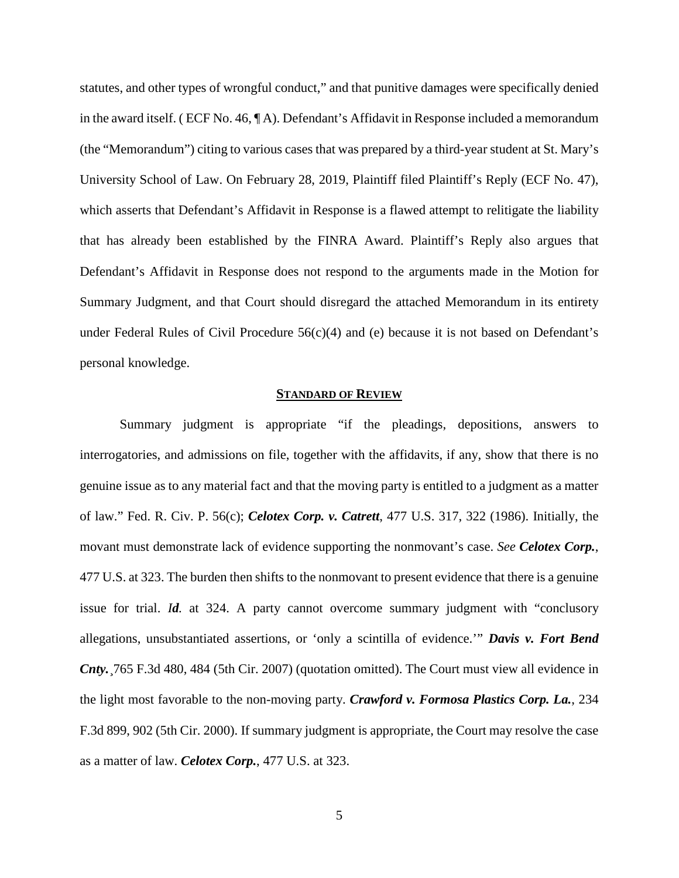statutes, and other types of wrongful conduct," and that punitive damages were specifically denied in the award itself. ( ECF No. 46, ¶ A). Defendant's Affidavit in Response included a memorandum (the "Memorandum") citing to various cases that was prepared by a third-year student at St. Mary's University School of Law. On February 28, 2019, Plaintiff filed Plaintiff's Reply (ECF No. 47), which asserts that Defendant's Affidavit in Response is a flawed attempt to relitigate the liability that has already been established by the FINRA Award. Plaintiff's Reply also argues that Defendant's Affidavit in Response does not respond to the arguments made in the Motion for Summary Judgment, and that Court should disregard the attached Memorandum in its entirety under Federal Rules of Civil Procedure 56(c)(4) and (e) because it is not based on Defendant's personal knowledge.

## **STANDARD OF REVIEW**

Summary judgment is appropriate "if the pleadings, depositions, answers to interrogatories, and admissions on file, together with the affidavits, if any, show that there is no genuine issue as to any material fact and that the moving party is entitled to a judgment as a matter of law." Fed. R. Civ. P. 56(c); *Celotex Corp. v. Catrett*, 477 U.S. 317, 322 (1986). Initially, the movant must demonstrate lack of evidence supporting the nonmovant's case. *See Celotex Corp.*, 477 U.S. at 323. The burden then shifts to the nonmovant to present evidence that there is a genuine issue for trial. *Id.* at 324. A party cannot overcome summary judgment with "conclusory allegations, unsubstantiated assertions, or 'only a scintilla of evidence.'" *Davis v. Fort Bend Cnty.*¸765 F.3d 480, 484 (5th Cir. 2007) (quotation omitted). The Court must view all evidence in the light most favorable to the non-moving party. *Crawford v. Formosa Plastics Corp. La.*, 234 F.3d 899, 902 (5th Cir. 2000). If summary judgment is appropriate, the Court may resolve the case as a matter of law. *Celotex Corp.*, 477 U.S. at 323.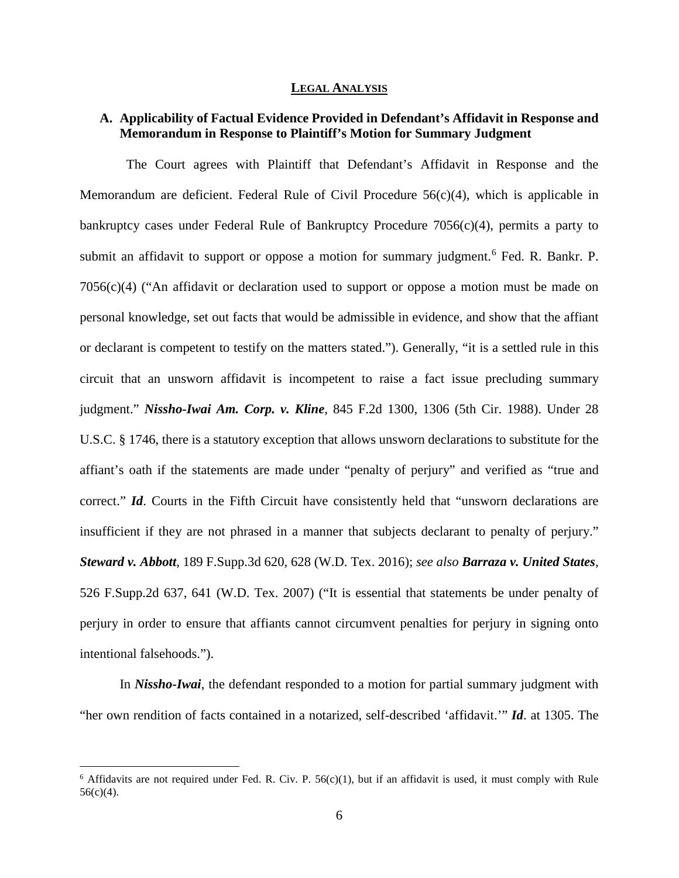#### **LEGAL ANALYSIS**

## **A. Applicability of Factual Evidence Provided in Defendant's Affidavit in Response and Memorandum in Response to Plaintiff's Motion for Summary Judgment**

 The Court agrees with Plaintiff that Defendant's Affidavit in Response and the Memorandum are deficient. Federal Rule of Civil Procedure  $56(c)(4)$ , which is applicable in bankruptcy cases under Federal Rule of Bankruptcy Procedure  $7056(c)(4)$ , permits a party to submit an affidavit to support or oppose a motion for summary judgment.<sup>[6](#page-5-0)</sup> Fed. R. Bankr. P. 7056(c)(4) ("An affidavit or declaration used to support or oppose a motion must be made on personal knowledge, set out facts that would be admissible in evidence, and show that the affiant or declarant is competent to testify on the matters stated."). Generally, "it is a settled rule in this circuit that an unsworn affidavit is incompetent to raise a fact issue precluding summary judgment." *Nissho-Iwai Am. Corp. v. Kline*, 845 F.2d 1300, 1306 (5th Cir. 1988). Under 28 U.S.C. § 1746, there is a statutory exception that allows unsworn declarations to substitute for the affiant's oath if the statements are made under "penalty of perjury" and verified as "true and correct." *Id*. Courts in the Fifth Circuit have consistently held that "unsworn declarations are insufficient if they are not phrased in a manner that subjects declarant to penalty of perjury." *Steward v. Abbott*, 189 F.Supp.3d 620, 628 (W.D. Tex. 2016); *see also Barraza v. United States*, 526 F.Supp.2d 637, 641 (W.D. Tex. 2007) ("It is essential that statements be under penalty of perjury in order to ensure that affiants cannot circumvent penalties for perjury in signing onto intentional falsehoods.").

In *Nissho-Iwai*, the defendant responded to a motion for partial summary judgment with "her own rendition of facts contained in a notarized, self-described 'affidavit.'" *Id*. at 1305. The

<span id="page-5-0"></span> $6$  Affidavits are not required under Fed. R. Civ. P. 56(c)(1), but if an affidavit is used, it must comply with Rule  $56(c)(4)$ .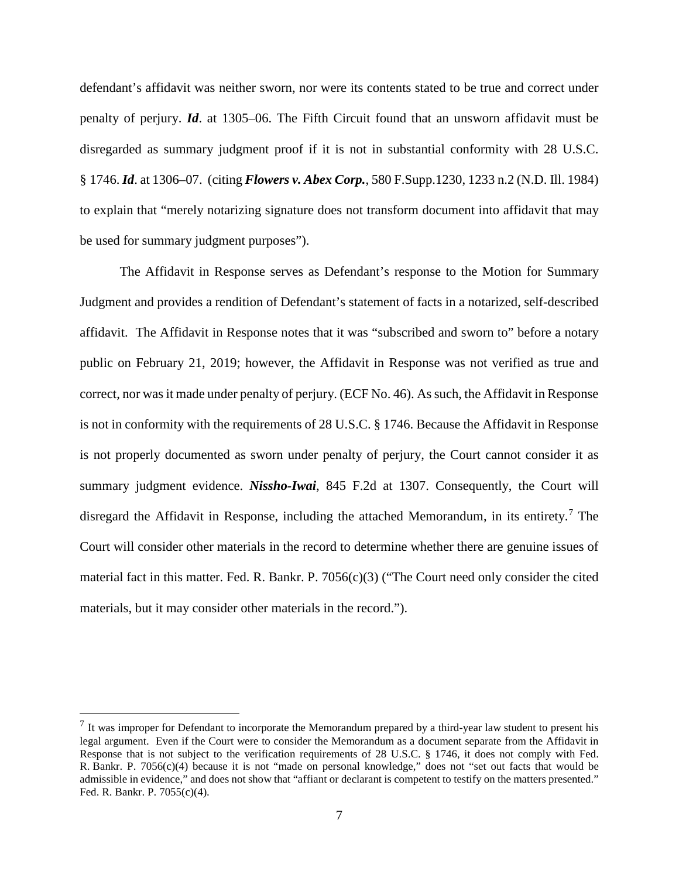defendant's affidavit was neither sworn, nor were its contents stated to be true and correct under penalty of perjury. *Id*. at 1305–06. The Fifth Circuit found that an unsworn affidavit must be disregarded as summary judgment proof if it is not in substantial conformity with 28 U.S.C. § 1746. *Id*. at 1306–07. (citing *Flowers v. Abex Corp.*, 580 F.Supp.1230, 1233 n.2 (N.D. Ill. 1984) to explain that "merely notarizing signature does not transform document into affidavit that may be used for summary judgment purposes").

The Affidavit in Response serves as Defendant's response to the Motion for Summary Judgment and provides a rendition of Defendant's statement of facts in a notarized, self-described affidavit. The Affidavit in Response notes that it was "subscribed and sworn to" before a notary public on February 21, 2019; however, the Affidavit in Response was not verified as true and correct, nor was it made under penalty of perjury. (ECF No. 46). As such, the Affidavit in Response is not in conformity with the requirements of 28 U.S.C. § 1746. Because the Affidavit in Response is not properly documented as sworn under penalty of perjury, the Court cannot consider it as summary judgment evidence. *Nissho-Iwai*, 845 F.2d at 1307. Consequently, the Court will disregard the Affidavit in Response, including the attached Memorandum, in its entirety.<sup>[7](#page-6-0)</sup> The Court will consider other materials in the record to determine whether there are genuine issues of material fact in this matter. Fed. R. Bankr. P. 7056(c)(3) ("The Court need only consider the cited materials, but it may consider other materials in the record.").

<span id="page-6-0"></span> $<sup>7</sup>$  It was improper for Defendant to incorporate the Memorandum prepared by a third-year law student to present his</sup> legal argument. Even if the Court were to consider the Memorandum as a document separate from the Affidavit in Response that is not subject to the verification requirements of 28 U.S.C. § 1746, it does not comply with Fed. R. Bankr. P. 7056(c)(4) because it is not "made on personal knowledge," does not "set out facts that would be admissible in evidence," and does not show that "affiant or declarant is competent to testify on the matters presented." Fed. R. Bankr. P. 7055(c)(4).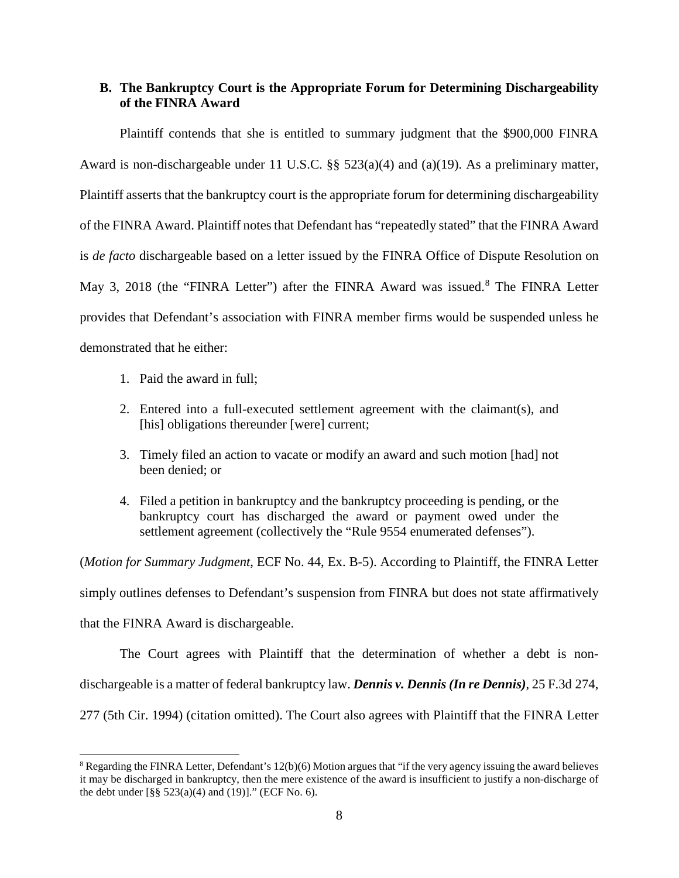# **B. The Bankruptcy Court is the Appropriate Forum for Determining Dischargeability of the FINRA Award**

Plaintiff contends that she is entitled to summary judgment that the \$900,000 FINRA Award is non-dischargeable under 11 U.S.C. §§ 523(a)(4) and (a)(19). As a preliminary matter, Plaintiff asserts that the bankruptcy court is the appropriate forum for determining dischargeability of the FINRA Award. Plaintiff notes that Defendant has "repeatedly stated" that the FINRA Award is *de facto* dischargeable based on a letter issued by the FINRA Office of Dispute Resolution on May 3, 201[8](#page-7-0) (the "FINRA Letter") after the FINRA Award was issued.<sup>8</sup> The FINRA Letter provides that Defendant's association with FINRA member firms would be suspended unless he demonstrated that he either:

- 1. Paid the award in full;
- 2. Entered into a full-executed settlement agreement with the claimant(s), and [his] obligations thereunder [were] current;
- 3. Timely filed an action to vacate or modify an award and such motion [had] not been denied; or
- 4. Filed a petition in bankruptcy and the bankruptcy proceeding is pending, or the bankruptcy court has discharged the award or payment owed under the settlement agreement (collectively the "Rule 9554 enumerated defenses").

(*Motion for Summary Judgment*, ECF No. 44, Ex. B-5). According to Plaintiff, the FINRA Letter simply outlines defenses to Defendant's suspension from FINRA but does not state affirmatively that the FINRA Award is dischargeable.

The Court agrees with Plaintiff that the determination of whether a debt is nondischargeable is a matter of federal bankruptcy law. *Dennis v. Dennis (In re Dennis)*, 25 F.3d 274, 277 (5th Cir. 1994) (citation omitted). The Court also agrees with Plaintiff that the FINRA Letter

<span id="page-7-0"></span> $8$  Regarding the FINRA Letter, Defendant's 12(b)(6) Motion argues that "if the very agency issuing the award believes it may be discharged in bankruptcy, then the mere existence of the award is insufficient to justify a non-discharge of the debt under  $[\S \S 523(a)(4)$  and  $(19)]$ ." (ECF No. 6).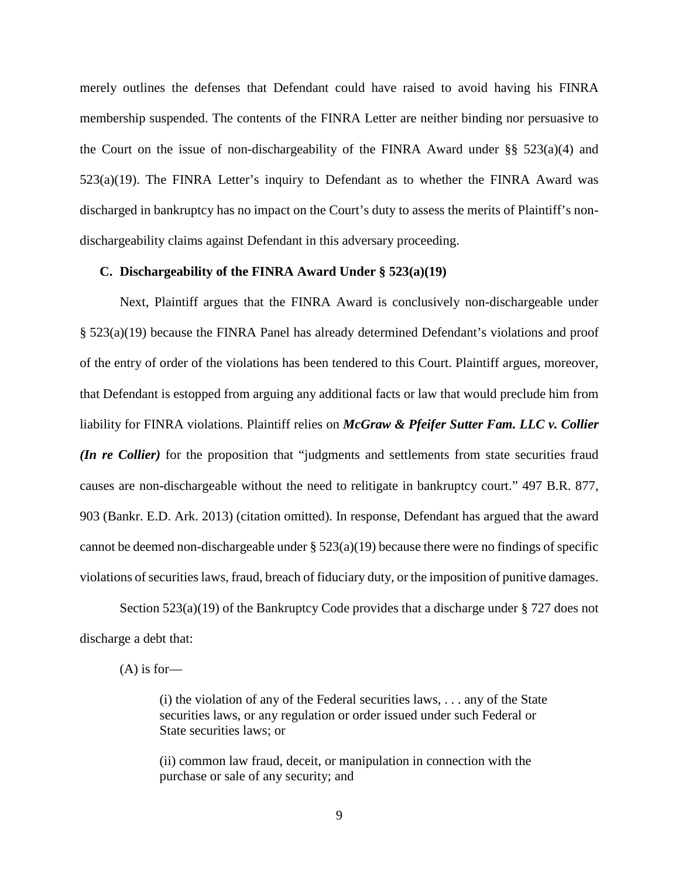merely outlines the defenses that Defendant could have raised to avoid having his FINRA membership suspended. The contents of the FINRA Letter are neither binding nor persuasive to the Court on the issue of non-dischargeability of the FINRA Award under  $\S$ § 523(a)(4) and 523(a)(19). The FINRA Letter's inquiry to Defendant as to whether the FINRA Award was discharged in bankruptcy has no impact on the Court's duty to assess the merits of Plaintiff's nondischargeability claims against Defendant in this adversary proceeding.

### **C. Dischargeability of the FINRA Award Under § 523(a)(19)**

Next, Plaintiff argues that the FINRA Award is conclusively non-dischargeable under § 523(a)(19) because the FINRA Panel has already determined Defendant's violations and proof of the entry of order of the violations has been tendered to this Court. Plaintiff argues, moreover, that Defendant is estopped from arguing any additional facts or law that would preclude him from liability for FINRA violations. Plaintiff relies on *McGraw & Pfeifer Sutter Fam. LLC v. Collier (In re Collier)* for the proposition that "judgments and settlements from state securities fraud causes are non-dischargeable without the need to relitigate in bankruptcy court." 497 B.R. 877, 903 (Bankr. E.D. Ark. 2013) (citation omitted). In response, Defendant has argued that the award cannot be deemed non-dischargeable under  $\S 523(a)(19)$  because there were no findings of specific violations of securities laws, fraud, breach of fiduciary duty, or the imposition of punitive damages.

Section 523(a)(19) of the Bankruptcy Code provides that a discharge under § 727 does not discharge a debt that:

 $(A)$  is for-

(i) the violation of any of the Federal securities laws, . . . any of the State securities laws, or any regulation or order issued under such Federal or State securities laws; or

(ii) common law fraud, deceit, or manipulation in connection with the purchase or sale of any security; and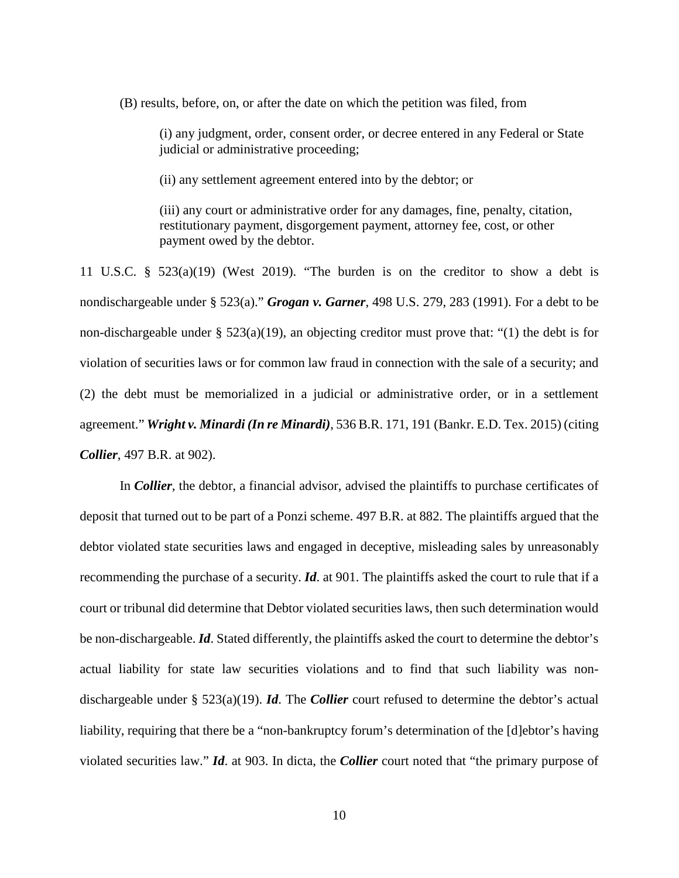(B) results*,* before, on, or after the date on which the petition was filed, from

(i) any judgment, order, consent order, or decree entered in any Federal or State judicial or administrative proceeding;

(ii) any settlement agreement entered into by the debtor; or

(iii) any court or administrative order for any damages, fine, penalty, citation, restitutionary payment, disgorgement payment, attorney fee, cost, or other payment owed by the debtor.

11 U.S.C. § 523(a)(19) (West 2019). "The burden is on the creditor to show a debt is nondischargeable under § 523(a)." *Grogan v. Garner*, 498 U.S. 279, 283 (1991). For a debt to be non-dischargeable under  $\S$  523(a)(19), an objecting creditor must prove that: "(1) the debt is for violation of securities laws or for common law fraud in connection with the sale of a security; and (2) the debt must be memorialized in a judicial or administrative order, or in a settlement agreement." *Wright v. Minardi (In re Minardi)*, 536 B.R. 171, 191 (Bankr. E.D. Tex. 2015) (citing *Collier*, 497 B.R. at 902).

In *Collier*, the debtor, a financial advisor, advised the plaintiffs to purchase certificates of deposit that turned out to be part of a Ponzi scheme. 497 B.R. at 882. The plaintiffs argued that the debtor violated state securities laws and engaged in deceptive, misleading sales by unreasonably recommending the purchase of a security. *Id*. at 901. The plaintiffs asked the court to rule that if a court or tribunal did determine that Debtor violated securities laws, then such determination would be non-dischargeable. *Id*. Stated differently, the plaintiffs asked the court to determine the debtor's actual liability for state law securities violations and to find that such liability was nondischargeable under § 523(a)(19). *Id*. The *Collier* court refused to determine the debtor's actual liability, requiring that there be a "non-bankruptcy forum's determination of the [d]ebtor's having violated securities law." *Id*. at 903. In dicta, the *Collier* court noted that "the primary purpose of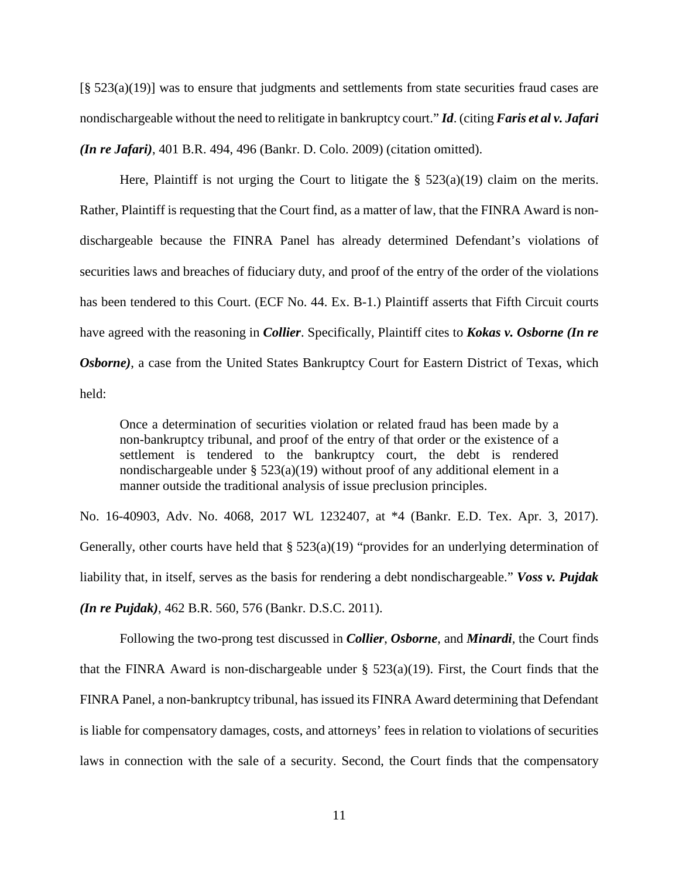[§ 523(a)(19)] was to ensure that judgments and settlements from state securities fraud cases are nondischargeable without the need to relitigate in bankruptcy court." *Id*. (citing *Faris et al v. Jafari (In re Jafari)*, 401 B.R. 494, 496 (Bankr. D. Colo. 2009) (citation omitted).

Here, Plaintiff is not urging the Court to litigate the  $\S$  523(a)(19) claim on the merits. Rather, Plaintiff is requesting that the Court find, as a matter of law, that the FINRA Award is nondischargeable because the FINRA Panel has already determined Defendant's violations of securities laws and breaches of fiduciary duty, and proof of the entry of the order of the violations has been tendered to this Court. (ECF No. 44. Ex. B-1.) Plaintiff asserts that Fifth Circuit courts have agreed with the reasoning in *Collier*. Specifically, Plaintiff cites to *Kokas v. Osborne (In re*  **Osborne**), a case from the United States Bankruptcy Court for Eastern District of Texas, which held:

Once a determination of securities violation or related fraud has been made by a non-bankruptcy tribunal, and proof of the entry of that order or the existence of a settlement is tendered to the bankruptcy court, the debt is rendered nondischargeable under  $\S$  523(a)(19) without proof of any additional element in a manner outside the traditional analysis of issue preclusion principles.

No. 16-40903, Adv. No. 4068, 2017 WL 1232407, at \*4 (Bankr. E.D. Tex. Apr. 3, 2017). Generally, other courts have held that § 523(a)(19) "provides for an underlying determination of liability that, in itself, serves as the basis for rendering a debt nondischargeable." *Voss v. Pujdak (In re Pujdak)*, 462 B.R. 560, 576 (Bankr. D.S.C. 2011).

Following the two-prong test discussed in *Collier*, *Osborne*, and *Minardi*, the Court finds that the FINRA Award is non-dischargeable under  $\S$  523(a)(19). First, the Court finds that the FINRA Panel, a non-bankruptcy tribunal, has issued its FINRA Award determining that Defendant is liable for compensatory damages, costs, and attorneys' fees in relation to violations of securities laws in connection with the sale of a security. Second, the Court finds that the compensatory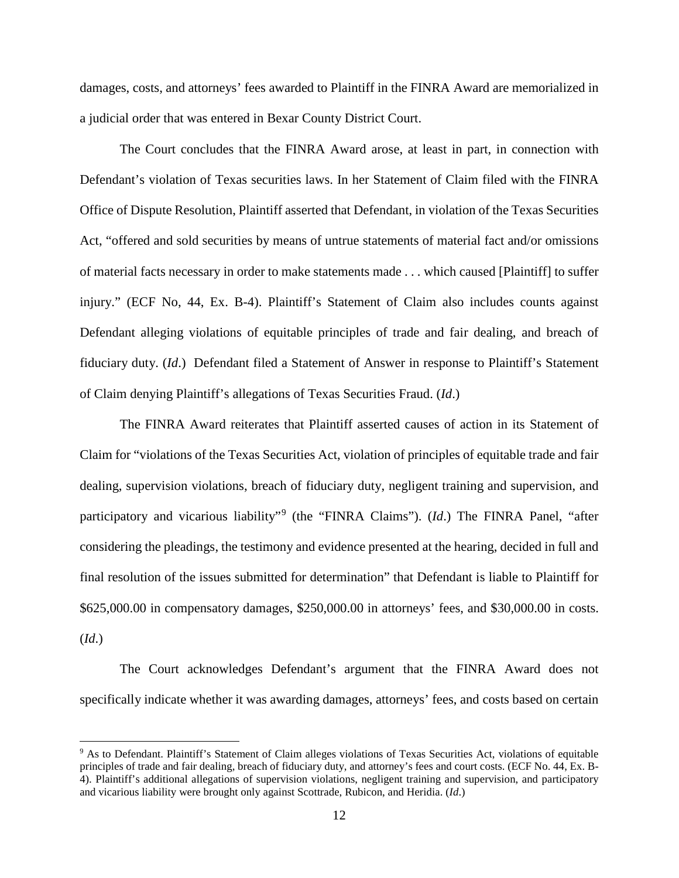damages, costs, and attorneys' fees awarded to Plaintiff in the FINRA Award are memorialized in a judicial order that was entered in Bexar County District Court.

The Court concludes that the FINRA Award arose, at least in part, in connection with Defendant's violation of Texas securities laws. In her Statement of Claim filed with the FINRA Office of Dispute Resolution, Plaintiff asserted that Defendant, in violation of the Texas Securities Act, "offered and sold securities by means of untrue statements of material fact and/or omissions of material facts necessary in order to make statements made . . . which caused [Plaintiff] to suffer injury." (ECF No, 44, Ex. B-4). Plaintiff's Statement of Claim also includes counts against Defendant alleging violations of equitable principles of trade and fair dealing, and breach of fiduciary duty. (*Id*.) Defendant filed a Statement of Answer in response to Plaintiff's Statement of Claim denying Plaintiff's allegations of Texas Securities Fraud. (*Id*.)

The FINRA Award reiterates that Plaintiff asserted causes of action in its Statement of Claim for "violations of the Texas Securities Act, violation of principles of equitable trade and fair dealing, supervision violations, breach of fiduciary duty, negligent training and supervision, and participatory and vicarious liability"<sup>[9](#page-11-0)</sup> (the "FINRA Claims"). (*Id*.) The FINRA Panel, "after considering the pleadings, the testimony and evidence presented at the hearing, decided in full and final resolution of the issues submitted for determination" that Defendant is liable to Plaintiff for \$625,000.00 in compensatory damages, \$250,000.00 in attorneys' fees, and \$30,000.00 in costs. (*Id*.)

The Court acknowledges Defendant's argument that the FINRA Award does not specifically indicate whether it was awarding damages, attorneys' fees, and costs based on certain

<span id="page-11-0"></span> <sup>9</sup> As to Defendant. Plaintiff's Statement of Claim alleges violations of Texas Securities Act, violations of equitable principles of trade and fair dealing, breach of fiduciary duty, and attorney's fees and court costs. (ECF No. 44, Ex. B-4). Plaintiff's additional allegations of supervision violations, negligent training and supervision, and participatory and vicarious liability were brought only against Scottrade, Rubicon, and Heridia. (*Id*.)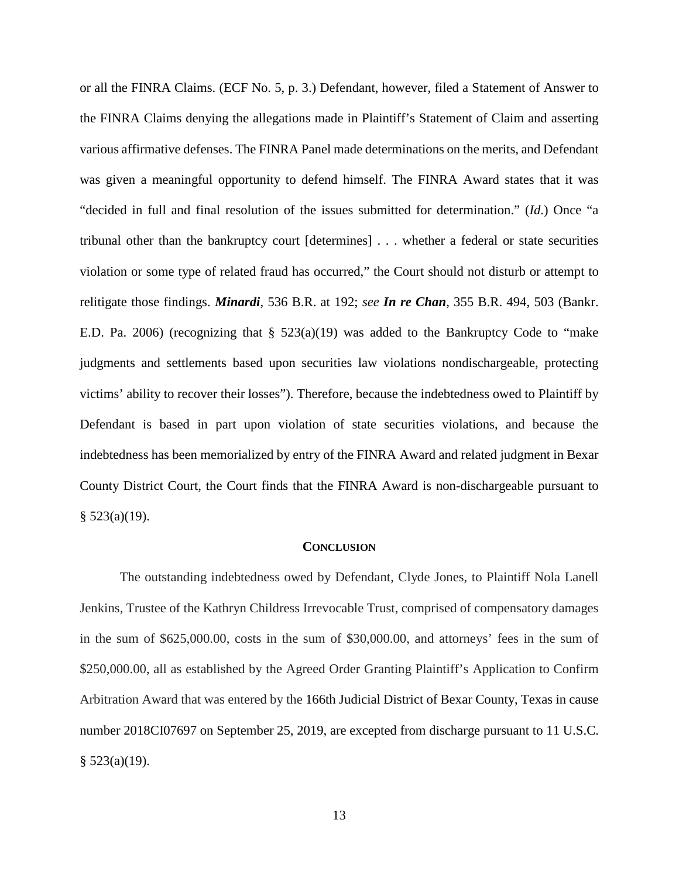or all the FINRA Claims. (ECF No. 5, p. 3.) Defendant, however, filed a Statement of Answer to the FINRA Claims denying the allegations made in Plaintiff's Statement of Claim and asserting various affirmative defenses. The FINRA Panel made determinations on the merits, and Defendant was given a meaningful opportunity to defend himself. The FINRA Award states that it was "decided in full and final resolution of the issues submitted for determination." (*Id*.) Once "a tribunal other than the bankruptcy court [determines] . . . whether a federal or state securities violation or some type of related fraud has occurred," the Court should not disturb or attempt to relitigate those findings. *Minardi*, 536 B.R. at 192; *see In re Chan*, 355 B.R. 494, 503 (Bankr. E.D. Pa. 2006) (recognizing that § 523(a)(19) was added to the Bankruptcy Code to "make judgments and settlements based upon securities law violations nondischargeable, protecting victims' ability to recover their losses"). Therefore, because the indebtedness owed to Plaintiff by Defendant is based in part upon violation of state securities violations, and because the indebtedness has been memorialized by entry of the FINRA Award and related judgment in Bexar County District Court, the Court finds that the FINRA Award is non-dischargeable pursuant to  $§$  523(a)(19).

#### **CONCLUSION**

The outstanding indebtedness owed by Defendant, Clyde Jones, to Plaintiff Nola Lanell Jenkins, Trustee of the Kathryn Childress Irrevocable Trust, comprised of compensatory damages in the sum of \$625,000.00, costs in the sum of \$30,000.00, and attorneys' fees in the sum of \$250,000.00, all as established by the Agreed Order Granting Plaintiff's Application to Confirm Arbitration Award that was entered by the 166th Judicial District of Bexar County, Texas in cause number 2018CI07697 on September 25, 2019, are excepted from discharge pursuant to 11 U.S.C.  $§$  523(a)(19).